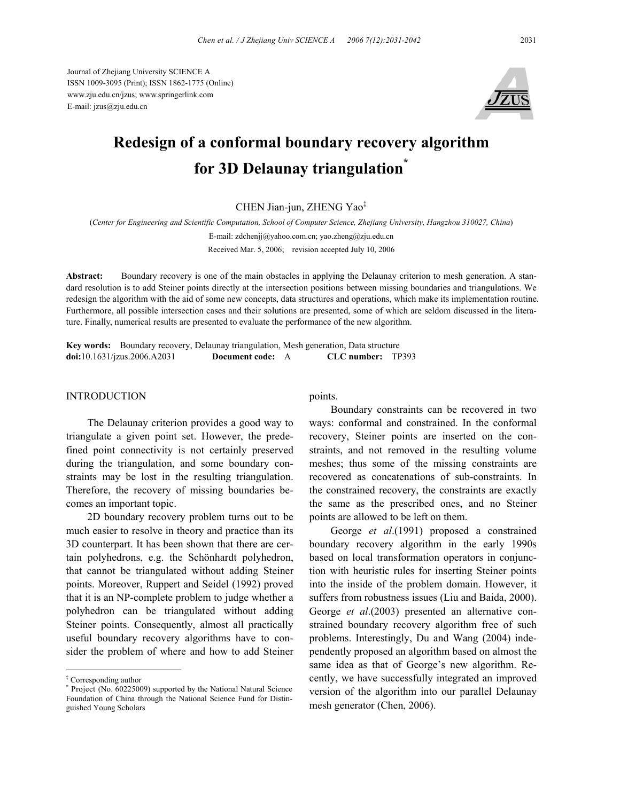Journal of Zhejiang University SCIENCE A ISSN 1009-3095 (Print); ISSN 1862-1775 (Online) www.zju.edu.cn/jzus; www.springerlink.com E-mail: jzus@zju.edu.cn



# **Redesign of a conformal boundary recovery algorithm for 3D Delaunay triangulation\***

CHEN Jian-jun, ZHENG Yao‡

(*Center for Engineering and Scientific Computation, School of Computer Science, Zhejiang University, Hangzhou 310027, China*)

E-mail: zdchenjj@yahoo.com.cn; yao.zheng@zju.edu.cn Received Mar. 5, 2006; revision accepted July 10, 2006

**Abstract:** Boundary recovery is one of the main obstacles in applying the Delaunay criterion to mesh generation. A standard resolution is to add Steiner points directly at the intersection positions between missing boundaries and triangulations. We redesign the algorithm with the aid of some new concepts, data structures and operations, which make its implementation routine. Furthermore, all possible intersection cases and their solutions are presented, some of which are seldom discussed in the literature. Finally, numerical results are presented to evaluate the performance of the new algorithm.

**Key words:** Boundary recovery, Delaunay triangulation, Mesh generation, Data structure **doi:**10.1631/jzus.2006.A2031 **Document code:** A **CLC number:** TP393

#### INTRODUCTION

The Delaunay criterion provides a good way to triangulate a given point set. However, the predefined point connectivity is not certainly preserved during the triangulation, and some boundary constraints may be lost in the resulting triangulation. Therefore, the recovery of missing boundaries becomes an important topic.

2D boundary recovery problem turns out to be much easier to resolve in theory and practice than its 3D counterpart. It has been shown that there are certain polyhedrons, e.g. the Schönhardt polyhedron, that cannot be triangulated without adding Steiner points. Moreover, Ruppert and Seidel (1992) proved that it is an NP-complete problem to judge whether a polyhedron can be triangulated without adding Steiner points. Consequently, almost all practically useful boundary recovery algorithms have to consider the problem of where and how to add Steiner

points.

Boundary constraints can be recovered in two ways: conformal and constrained. In the conformal recovery, Steiner points are inserted on the constraints, and not removed in the resulting volume meshes; thus some of the missing constraints are recovered as concatenations of sub-constraints. In the constrained recovery, the constraints are exactly the same as the prescribed ones, and no Steiner points are allowed to be left on them.

George *et al*.(1991) proposed a constrained boundary recovery algorithm in the early 1990s based on local transformation operators in conjunction with heuristic rules for inserting Steiner points into the inside of the problem domain. However, it suffers from robustness issues (Liu and Baida, 2000). George *et al*.(2003) presented an alternative constrained boundary recovery algorithm free of such problems. Interestingly, Du and Wang (2004) independently proposed an algorithm based on almost the same idea as that of George's new algorithm. Recently, we have successfully integrated an improved version of the algorithm into our parallel Delaunay mesh generator (Chen, 2006).

<sup>‡</sup> Corresponding author

<sup>\*</sup> Project (No. 60225009) supported by the National Natural Science Foundation of China through the National Science Fund for Distinguished Young Scholars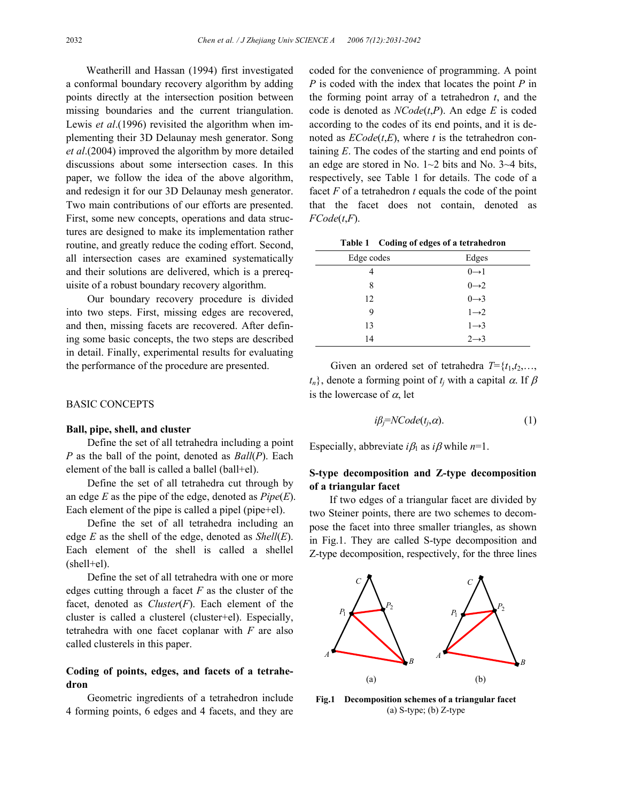Weatherill and Hassan (1994) first investigated a conformal boundary recovery algorithm by adding points directly at the intersection position between missing boundaries and the current triangulation. Lewis *et al*.(1996) revisited the algorithm when implementing their 3D Delaunay mesh generator. Song *et al*.(2004) improved the algorithm by more detailed discussions about some intersection cases. In this paper, we follow the idea of the above algorithm, and redesign it for our 3D Delaunay mesh generator. Two main contributions of our efforts are presented. First, some new concepts, operations and data structures are designed to make its implementation rather routine, and greatly reduce the coding effort. Second, all intersection cases are examined systematically and their solutions are delivered, which is a prerequisite of a robust boundary recovery algorithm.

Our boundary recovery procedure is divided into two steps. First, missing edges are recovered, and then, missing facets are recovered. After defining some basic concepts, the two steps are described in detail. Finally, experimental results for evaluating the performance of the procedure are presented.

#### BASIC CONCEPTS

#### **Ball, pipe, shell, and cluster**

Define the set of all tetrahedra including a point *P* as the ball of the point, denoted as *Ball*(*P*). Each element of the ball is called a ballel (ball+el).

Define the set of all tetrahedra cut through by an edge *E* as the pipe of the edge, denoted as *Pipe*(*E*). Each element of the pipe is called a pipel (pipe+el).

Define the set of all tetrahedra including an edge *E* as the shell of the edge, denoted as *Shell*(*E*). Each element of the shell is called a shellel  $(shell+el).$ 

Define the set of all tetrahedra with one or more edges cutting through a facet *F* as the cluster of the facet, denoted as *Cluster*(*F*). Each element of the cluster is called a clusterel (cluster+el). Especially, tetrahedra with one facet coplanar with *F* are also called clusterels in this paper.

## **Coding of points, edges, and facets of a tetrahedron**

Geometric ingredients of a tetrahedron include 4 forming points, 6 edges and 4 facets, and they are coded for the convenience of programming. A point *P* is coded with the index that locates the point *P* in the forming point array of a tetrahedron *t*, and the code is denoted as *NCode*(*t*,*P*). An edge *E* is coded according to the codes of its end points, and it is denoted as *ECode*(*t*,*E*), where *t* is the tetrahedron containing *E*. The codes of the starting and end points of an edge are stored in No.  $1 \sim 2$  bits and No.  $3 \sim 4$  bits, respectively, see Table 1 for details. The code of a facet *F* of a tetrahedron *t* equals the code of the point that the facet does not contain, denoted as *FCode*(*t*,*F*).

|  |  | Table 1 Coding of edges of a tetrahedron |
|--|--|------------------------------------------|
|  |  |                                          |

| Edge codes | Edges             |
|------------|-------------------|
| 4          | $0 \rightarrow 1$ |
| 8          | $0\rightarrow 2$  |
| 12         | $0 \rightarrow 3$ |
| 9          | $1\rightarrow 2$  |
| 13         | $1 \rightarrow 3$ |
| 14         | $2 \rightarrow 3$ |

Given an ordered set of tetrahedra  $T = \{t_1, t_2, \ldots, t_n\}$  $t_n$ , denote a forming point of  $t_i$  with a capital  $\alpha$ . If  $\beta$ is the lowercase of  $\alpha$ , let

$$
i\beta_j = NCode(t_j, \alpha). \tag{1}
$$

Especially, abbreviate  $i\beta_1$  as  $i\beta$  while  $n=1$ .

# **S-type decomposition and Z-type decomposition of a triangular facet**

If two edges of a triangular facet are divided by two Steiner points, there are two schemes to decompose the facet into three smaller triangles, as shown in Fig.1. They are called S-type decomposition and Z-type decomposition, respectively, for the three lines



**Fig.1 Decomposition schemes of a triangular facet**  (a) S-type; (b) Z-type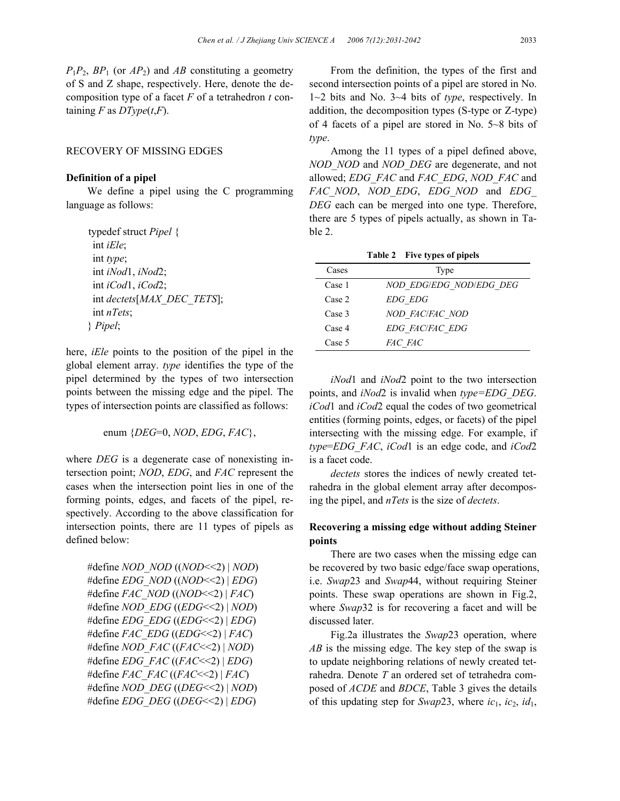$P_1P_2$ ,  $BP_1$  (or  $AP_2$ ) and  $AB$  constituting a geometry of S and Z shape, respectively. Here, denote the decomposition type of a facet *F* of a tetrahedron *t* containing  $F$  as  $DType(t, F)$ .

## RECOVERY OF MISSING EDGES

#### **Definition of a pipel**

We define a pipel using the C programming language as follows:

typedef struct *Pipel* { int *iEle*; int *type*; int *iNod*1, *iNod*2; int *iCod*1, *iCod*2; int *dectets*[*MAX\_DEC\_TETS*]; int *nTets*; } *Pipel*;

here, *iEle* points to the position of the pipel in the global element array. *type* identifies the type of the pipel determined by the types of two intersection points between the missing edge and the pipel. The types of intersection points are classified as follows:

enum {*DEG*=0, *NOD*, *EDG*, *FAC*},

where *DEG* is a degenerate case of nonexisting intersection point; *NOD*, *EDG*, and *FAC* represent the cases when the intersection point lies in one of the forming points, edges, and facets of the pipel, respectively. According to the above classification for intersection points, there are 11 types of pipels as defined below:

```
#define NOD_NOD ((NOD<<2) | NOD)
#define EDG_NOD ((NOD<<2) | EDG)
#define FAC_NOD ((NOD<<2) | FAC)
#define NOD_EDG ((EDG<<2) | NOD)
#define EDG_EDG ((EDG<<2) | EDG)
#define FAC_EDG ((EDG<<2) | FAC)
#define NOD_FAC ((FAC<<2) | NOD)
#define EDG_FAC ((FAC<<2) | EDG)
#define FAC_FAC ((FAC<<2) | FAC)
#define NOD_DEG ((DEG<<2) | NOD)
#define EDG_DEG ((DEG<<2) | EDG)
```
From the definition, the types of the first and second intersection points of a pipel are stored in No. 1~2 bits and No. 3~4 bits of *type*, respectively. In addition, the decomposition types (S-type or Z-type) of 4 facets of a pipel are stored in No. 5~8 bits of *type*.

Among the 11 types of a pipel defined above, *NOD\_NOD* and *NOD\_DEG* are degenerate, and not allowed; *EDG\_FAC* and *FAC\_EDG*, *NOD\_FAC* and *FAC\_NOD*, *NOD\_EDG*, *EDG\_NOD* and *EDG\_ DEG* each can be merged into one type. Therefore, there are 5 types of pipels actually, as shown in Table 2.

| Cases  | Type                    |
|--------|-------------------------|
| Case 1 | NOD EDG/EDG NOD/EDG DEG |
| Case 2 | <b>EDG EDG</b>          |
| Case 3 | NOD FAC/FAC NOD         |
| Case 4 | EDG FAC/FAC EDG         |
| Case 5 | <i>FAC FAC</i>          |

**Table 2 Five types of pipels** 

*iNod*1 and *iNod*2 point to the two intersection points, and *iNod*2 is invalid when *type=EDG\_DEG*. *iCod*1 and *iCod*2 equal the codes of two geometrical entities (forming points, edges, or facets) of the pipel intersecting with the missing edge. For example, if *type*=*EDG\_FAC*, *iCod*1 is an edge code, and *iCod*2 is a facet code.

*dectets* stores the indices of newly created tetrahedra in the global element array after decomposing the pipel, and *nTets* is the size of *dectets*.

## **Recovering a missing edge without adding Steiner points**

There are two cases when the missing edge can be recovered by two basic edge/face swap operations, i.e. *Swap*23 and *Swap*44, without requiring Steiner points. These swap operations are shown in Fig.2, where *Swap*32 is for recovering a facet and will be discussed later.

Fig.2a illustrates the *Swap*23 operation, where *AB* is the missing edge. The key step of the swap is to update neighboring relations of newly created tetrahedra. Denote *T* an ordered set of tetrahedra composed of *ACDE* and *BDCE*, Table 3 gives the details of this updating step for *Swap*23, where  $ic_1$ ,  $ic_2$ ,  $id_1$ ,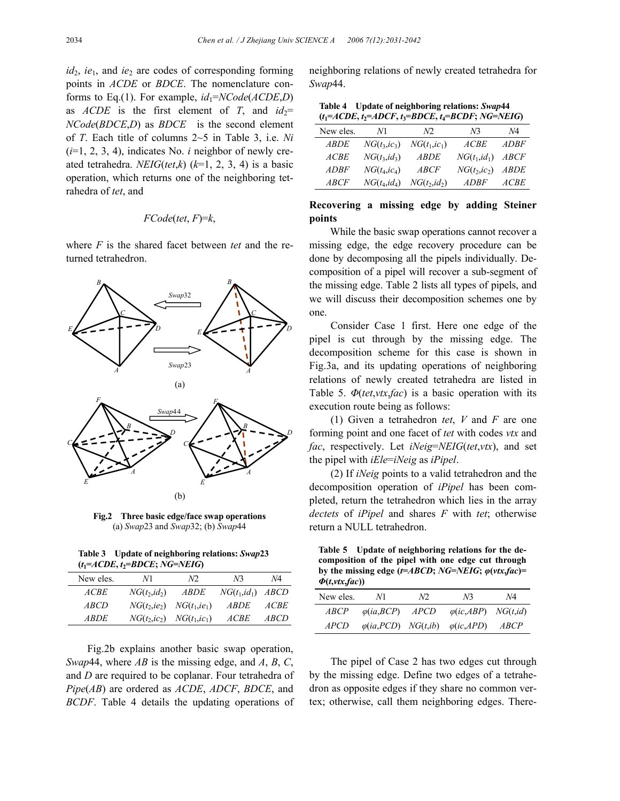*id*<sub>2</sub>, *ie*<sub>1</sub>, and *ie*<sub>2</sub> are codes of corresponding forming points in *ACDE* or *BDCE*. The nomenclature conforms to Eq.(1). For example, *id*1=*NCode*(*ACDE*,*D*) as *ACDE* is the first element of *T*, and  $id_2$ = *NCode*(*BDCE*,*D*) as *BDCE* is the second element of *T*. Each title of columns 2~5 in Table 3, i.e. *Ni*  (*i*=1, 2, 3, 4), indicates No. *i* neighbor of newly created tetrahedra. *NEIG*(*tet*,*k*) (*k*=1, 2, 3, 4) is a basic operation, which returns one of the neighboring tetrahedra of *tet*, and

## *FCode*(*tet*, *F*)=*k*,

where *F* is the shared facet between *tet* and the returned tetrahedron.



**Fig.2 Three basic edge/face swap operations**  (a) *Swap*23 and *Swap*32; (b) *Swap*44

**Table 3 Update of neighboring relations:** *Swap***23** **(***t***1=***ACDE***,** *t***2=***BDCE***;** *NG***=***NEIG***)** 

| New eles.   | N1                            | NQ.                             | N <sup>3</sup>       | Ν4          |
|-------------|-------------------------------|---------------------------------|----------------------|-------------|
| ACBE        | $NG(t_2, id_2)$               | <i>ABDE</i>                     | $NG(t_1, id_1)$ ABCD |             |
| <i>ABCD</i> | $NG(t_2,ie_2)$ $NG(t_1,ie_1)$ |                                 | <i>ABDE</i>          | <i>ACBE</i> |
| <i>ARDE</i> |                               | $NG(t_2, ic_2)$ $NG(t_1, ic_1)$ | <i>ACBE</i>          | <i>ABCD</i> |

Fig.2b explains another basic swap operation, *Swap*44, where *AB* is the missing edge, and *A*, *B*, *C*, and *D* are required to be coplanar. Four tetrahedra of *Pipe*(*AB*) are ordered as *ACDE*, *ADCF*, *BDCE*, and *BCDF*. Table 4 details the updating operations of

neighboring relations of newly created tetrahedra for *Swap*44.

| Table 4 Update of neighboring relations: Swap44<br>$(t_1 = ACDE, t_2 = ADCF, t_3 = BDCE, t_4 = BCDF; NG = NEIG)$ |                 |                 |                 |                   |  |
|------------------------------------------------------------------------------------------------------------------|-----------------|-----------------|-----------------|-------------------|--|
| New eles.                                                                                                        | N1              | N2              | N <sup>3</sup>  | Ν4                |  |
| <i>ARDE</i>                                                                                                      | $NG(t_3, ic_3)$ | $NG(t_1, ic_1)$ | ACBE            | <i>ADBF</i>       |  |
| ACBE                                                                                                             | $NG(t_3, id_3)$ | <i>ARDE</i>     | $NG(t_1, id_1)$ | $\overline{ABCF}$ |  |

## **Recovering a missing edge by adding Steiner points**

 $ADBF$   $NG(t_4, ic_4)$   $ABCF$   $NG(t_2, ic_2)$   $ABDE$ *ABCF NG*(*t*4,*id*4) *NG*(*t*2,*id*2) *ADBF ACBE* 

While the basic swap operations cannot recover a missing edge, the edge recovery procedure can be done by decomposing all the pipels individually. Decomposition of a pipel will recover a sub-segment of the missing edge. Table 2 lists all types of pipels, and we will discuss their decomposition schemes one by one.

Consider Case 1 first. Here one edge of the pipel is cut through by the missing edge. The decomposition scheme for this case is shown in Fig.3a, and its updating operations of neighboring relations of newly created tetrahedra are listed in Table 5. *Φ*(*tet*,*vtx*,*fac*) is a basic operation with its execution route being as follows:

(1) Given a tetrahedron *tet*, *V* and *F* are one forming point and one facet of *tet* with codes *vtx* and *fac*, respectively. Let *iNeig*=*NEIG*(*tet*,*vtx*), and set the pipel with *iEle*=*iNeig* as *iPipel*.

(2) If *iNeig* points to a valid tetrahedron and the decomposition operation of *iPipel* has been completed, return the tetrahedron which lies in the array *dectets* of *iPipel* and shares *F* with *tet*; otherwise return a NULL tetrahedron.

**Table 5 Update of neighboring relations for the decomposition of the pipel with one edge cut through by the missing edge (** $t=ABCD$ **;**  $NG=NEIG$ **;**  $\varphi(\nu tx, fac)$ **=** *Φ***(***t***,***vtx***,***fac***))** 

| New eles.   | N1.                     | N <sub>2</sub> | N <sup>3</sup>                                         | N4 |
|-------------|-------------------------|----------------|--------------------------------------------------------|----|
| $\i{ABCP}$  | $\varphi(ia, BCP)$ APCD |                | $\varphi$ (ic,ABP) NG(t,id)                            |    |
| <i>APCD</i> |                         |                | $\varphi(ia, PCD)$ $NG(t, ib)$ $\varphi(ic, APD)$ ABCP |    |

The pipel of Case 2 has two edges cut through by the missing edge. Define two edges of a tetrahedron as opposite edges if they share no common vertex; otherwise, call them neighboring edges. There-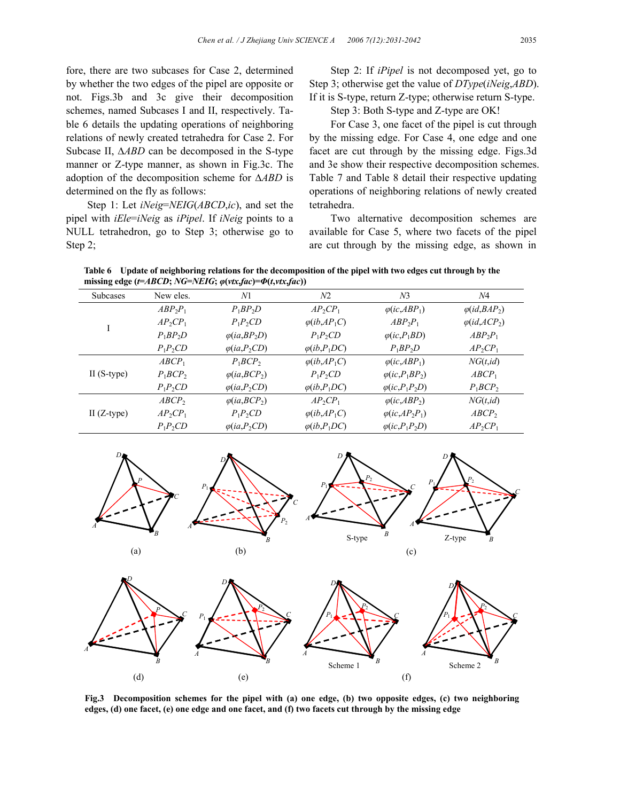fore, there are two subcases for Case 2, determined by whether the two edges of the pipel are opposite or not. Figs.3b and 3c give their decomposition schemes, named Subcases I and II, respectively. Table 6 details the updating operations of neighboring relations of newly created tetrahedra for Case 2. For Subcase II, ∆*ABD* can be decomposed in the S-type manner or Z-type manner, as shown in Fig.3c. The adoption of the decomposition scheme for ∆*ABD* is determined on the fly as follows:

Step 1: Let *iNeig*=*NEIG*(*ABCD*,*ic*), and set the pipel with *iEle*=*iNeig* as *iPipel*. If *iNeig* points to a NULL tetrahedron, go to Step 3; otherwise go to Step 2;

Step 2: If *iPipel* is not decomposed yet, go to Step 3; otherwise get the value of *DType*(*iNeig*,*ABD*). If it is S-type, return Z-type; otherwise return S-type.

Step 3: Both S-type and Z-type are OK!

For Case 3, one facet of the pipel is cut through by the missing edge. For Case 4, one edge and one facet are cut through by the missing edge. Figs.3d and 3e show their respective decomposition schemes. Table 7 and Table 8 detail their respective updating operations of neighboring relations of newly created tetrahedra.

Two alternative decomposition schemes are available for Case 5, where two facets of the pipel are cut through by the missing edge, as shown in

**Table 6 Update of neighboring relations for the decomposition of the pipel with two edges cut through by the missing edge (***t***=***ABCD***;** *NG***=***NEIG***;** *φ***(***vtx***,***fac***)=***Φ***(***t***,***vtx***,***fac***))** 

| $\mu$ missing edge $(i=ADCD; ivG=VLIG; \psi(vx, jac)=\Psi(i, vtx, jac))$ |                   |                      |                                                           |                                                   |                      |  |
|--------------------------------------------------------------------------|-------------------|----------------------|-----------------------------------------------------------|---------------------------------------------------|----------------------|--|
| <b>Subcases</b>                                                          | New eles.         | N1                   | N <sub>2</sub>                                            | N <sub>3</sub>                                    | Ν4                   |  |
|                                                                          | $ABP_2P_1$        | $P_1BP_2D$           | $AP_2CP_1$                                                | $\varphi$ ( <i>ic</i> , <i>ABP</i> <sub>1</sub> ) | $\varphi(id, BAP_2)$ |  |
|                                                                          | $AP_2CP_1$        | $P_1P_2CD$           | $\varphi$ ( <i>ib</i> , <i>AP</i> <sub>1</sub> <i>C</i> ) | $ABP_2P_1$                                        | $\varphi(id, ACP_2)$ |  |
|                                                                          | $P_1BP_2D$        | $\varphi(ia, BP_2D)$ | $P_1P_2CD$                                                | $\varphi$ ( <i>ic</i> , $P_1BD$ )                 | $ABP_2P_1$           |  |
|                                                                          | $P_1P_2CD$        | $\varphi(ia, P_2CD)$ | $\varphi$ ( <i>ib</i> , $P_1DC$ )                         | $P_1BP_2D$                                        | $AP_2CP_1$           |  |
|                                                                          | ABCP <sub>1</sub> | $P_1BCP_2$           | $\varphi$ ( <i>ib</i> , <i>AP</i> <sub>1</sub> <i>C</i> ) | $\varphi$ ( <i>ic</i> , <i>ABP</i> <sub>1</sub> ) | NG(t, id)            |  |
| II $(S-type)$                                                            | $P_1BCP_2$        | $\varphi(ia, BCP_2)$ | $P_1P_2CD$                                                | $\varphi$ ( <i>ic</i> , $P_1BP_2$ )               | ABCP <sub>1</sub>    |  |
|                                                                          | $P_1P_2CD$        | $\varphi(ia, P_2CD)$ | $\varphi$ ( <i>ib</i> , $P_1DC$ )                         | $\varphi$ (ic,P <sub>1</sub> P <sub>2</sub> D)    | $P_1BCP_2$           |  |
|                                                                          | ABCP <sub>2</sub> | $\varphi(ia, BCP_2)$ | $AP_2CP_1$                                                | $\varphi$ ( <i>ic</i> , <i>ABP</i> <sub>2</sub> ) | NG(t, id)            |  |
| II $(Z$ -type $)$                                                        | $AP_2CP_1$        | $P_1P_2CD$           | $\varphi$ ( <i>ib</i> , <i>AP</i> <sub>1</sub> <i>C</i> ) | $\varphi$ ( <i>ic</i> , $AP_2P_1$ )               | ABCP <sub>2</sub>    |  |
|                                                                          | $P_1P_2CD$        | $\varphi(ia, P_2CD)$ | $\varphi$ ( <i>ib</i> , $P_1DC$ )                         | $\varphi$ (ic,P <sub>1</sub> P <sub>2</sub> D)    | $AP_2CP_1$           |  |





*D*

*B*





*B*

*C*



*C*

*A*

*P*2

**Fig.3 Decomposition schemes for the pipel with (a) one edge, (b) two opposite edges, (c) two neighboring edges, (d) one facet, (e) one edge and one facet, and (f) two facets cut through by the missing edge**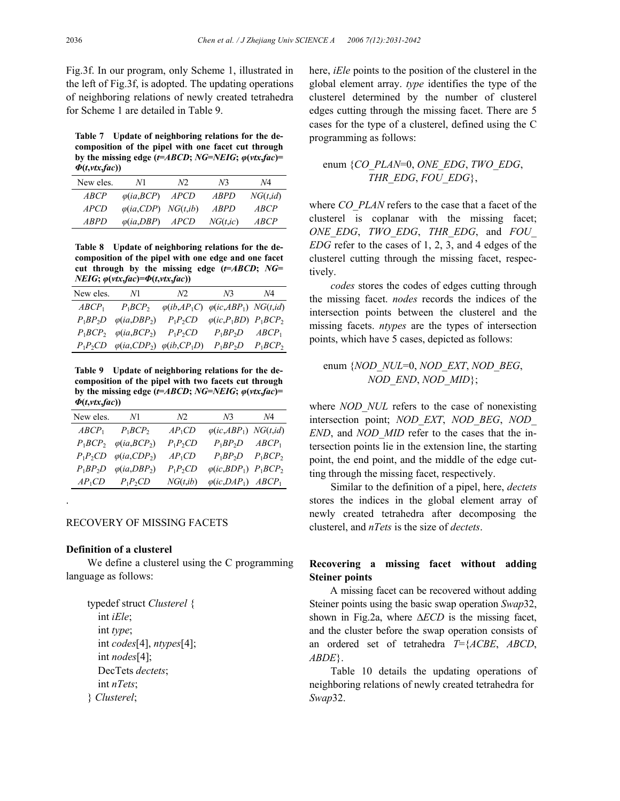Fig.3f. In our program, only Scheme 1, illustrated in the left of Fig.3f, is adopted. The updating operations of neighboring relations of newly created tetrahedra for Scheme 1 are detailed in Table 9.

**Table 7 Update of neighboring relations for the decomposition of the pipel with one facet cut through by the missing edge (** $t = ABCD$ **;**  $NG = NEIG$ **;**  $\varphi(\nu tx, fac) =$ *Φ***(***t***,***vtx***,***fac***))** 

| New eles.     | N1                            | N <sub>2</sub> | N <sup>3</sup> | Ν4            |
|---------------|-------------------------------|----------------|----------------|---------------|
| $\angle ABCP$ | $\varphi(ia, BCP)$            | <i>APCD</i>    | <i>ABPD</i>    | NG(t, id)     |
| <i>APCD</i>   | $\varphi(ia,CDP)$ NG $(t,ib)$ |                | <i>ARPD</i>    | ABCP          |
| <i>ARPD</i>   | $\varphi(ia, DBP)$            | <i>APCD</i>    | NG(t, ic)      | $\angle$ ARCP |

**Table 8 Update of neighboring relations for the decomposition of the pipel with one edge and one facet cut through by the missing edge (***t***=***ABCD***;** *NG***=**  *NEIG***;** *φ***(***vtx***,***fac***)=***Φ***(***t***,***vtx***,***fac***))** 

| New eles.         | N1                                                 | N2.        | N3                                                               | N4 |
|-------------------|----------------------------------------------------|------------|------------------------------------------------------------------|----|
| ABCP <sub>1</sub> | $P_1BCP_2$                                         |            | $\varphi(ib, AP_1C)$ $\varphi(ic, ABP_1)$ NG(t,id)               |    |
| $P_1BP_2D$        | $\varphi(ia, DBP_2)$                               | $P_1P_2CD$ | $\varphi$ (ic,P <sub>1</sub> BD) P <sub>1</sub> BCP <sub>2</sub> |    |
|                   | $P_1BCP_2$ $\varphi(ia, BCP_2)$ $P_1P_2CD$         |            | $P_1BP_2D \qquad ABCP_1$                                         |    |
|                   | $P_1P_2CD$ $\varphi(ia,CDP_2)$ $\varphi(ib,CP_1D)$ |            | $P_1BP_2D$ $P_1BCP_2$                                            |    |

**Table 9 Update of neighboring relations for the decomposition of the pipel with two facets cut through by the missing edge (***t***=***ABCD***;** *NG***=***NEIG***;** *φ***(***vtx***,***fac***)=**  *Φ***(***t***,***vtx***,***fac***))** 

| New eles. N1      |                                                                 | N2         | N3                                                 | <i>N</i> 4 |
|-------------------|-----------------------------------------------------------------|------------|----------------------------------------------------|------------|
| ABCP <sub>1</sub> | $P_1 B C P_2$                                                   | $AP_1CD$   | $\varphi$ (ic,ABP <sub>1</sub> ) NG(t,id)          |            |
|                   | $P_1 B C P_2$ $\varphi$ ( <i>ia</i> , <i>BCP</i> <sub>2</sub> ) | $P_1P_2CD$ | $P_1BP_2D$ ABCP <sub>1</sub>                       |            |
|                   | $P_1P_2CD$ $\varphi(ia,CDP_2)$                                  | $AP_1CD$   | $P_1BP_2D$ $P_1BCP_2$                              |            |
| $P_1BP_2D$        | $\varphi(ia, DBP_2)$                                            | $P_1P_2CD$ | $\varphi(i\mathcal{C}, BDP_1)$ $P_1 BCP_2$         |            |
|                   | $AP_1CD$ $P_1P_2CD$                                             | NG(t, ib)  | $\varphi$ (ic,DAP <sub>1</sub> ) ABCP <sub>1</sub> |            |

## RECOVERY OF MISSING FACETS

### **Definition of a clusterel**

.

We define a clusterel using the C programming language as follows:

typedef struct *Clusterel* { int *iEle*; int *type*; int *codes*[4], *ntypes*[4]; int *nodes*[4]; DecTets *dectets*; int *nTets*; } *Clusterel*;

here, *iEle* points to the position of the clusterel in the global element array. *type* identifies the type of the clusterel determined by the number of clusterel edges cutting through the missing facet. There are 5 cases for the type of a clusterel, defined using the C programming as follows:

## enum {*CO\_PLAN*=0, *ONE\_EDG*, *TWO\_EDG*, *THR\_EDG*, *FOU\_EDG*},

where *CO\_PLAN* refers to the case that a facet of the clusterel is coplanar with the missing facet; *ONE\_EDG*, *TWO\_EDG*, *THR\_EDG*, and *FOU\_ EDG* refer to the cases of 1, 2, 3, and 4 edges of the clusterel cutting through the missing facet, respectively.

*codes* stores the codes of edges cutting through the missing facet. *nodes* records the indices of the intersection points between the clusterel and the missing facets. *ntypes* are the types of intersection points, which have 5 cases, depicted as follows:

# enum {*NOD\_NUL*=0, *NOD\_EXT*, *NOD\_BEG*, *NOD\_END*, *NOD\_MID*};

where *NOD\_NUL* refers to the case of nonexisting intersection point; *NOD\_EXT*, *NOD\_BEG*, *NOD\_ END*, and *NOD\_MID* refer to the cases that the intersection points lie in the extension line, the starting point, the end point, and the middle of the edge cutting through the missing facet, respectively.

Similar to the definition of a pipel, here, *dectets* stores the indices in the global element array of newly created tetrahedra after decomposing the clusterel, and *nTets* is the size of *dectets*.

# **Recovering a missing facet without adding Steiner points**

A missing facet can be recovered without adding Steiner points using the basic swap operation *Swap*32, shown in Fig.2a, where ∆*ECD* is the missing facet, and the cluster before the swap operation consists of an ordered set of tetrahedra *T*={*ACBE*, *ABCD*, *ABDE*}.

Table 10 details the updating operations of neighboring relations of newly created tetrahedra for *Swap*32.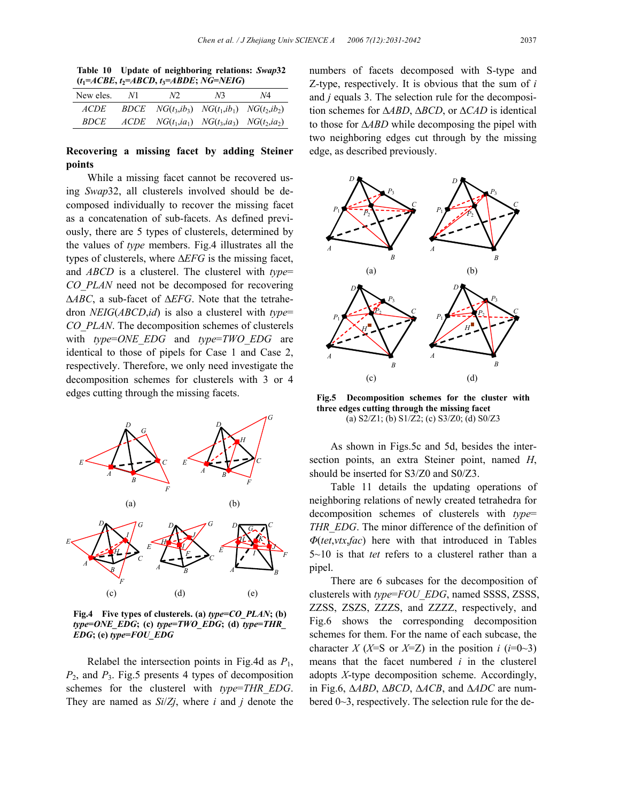|  | Table 10 Update of neighboring relations: Swap32  |  |
|--|---------------------------------------------------|--|
|  | $(t_1 = ACBE, t_2 = ABCD, t_3 = ABDE; NG = NEIG)$ |  |

| New eles.   | V1. | N2.                                                         | N <sup>3</sup> | N4 |
|-------------|-----|-------------------------------------------------------------|----------------|----|
| <i>ACDE</i> |     | <i>BDCE</i> $NG(t_3, ib_3)$ $NG(t_1, ib_1)$ $NG(t_2, ib_2)$ |                |    |
| <i>BDCE</i> |     | $ACDE$ $NG(t_1, ia_1)$ $NG(t_3, ia_3)$ $NG(t_2, ia_2)$      |                |    |

## **Recovering a missing facet by adding Steiner points**

While a missing facet cannot be recovered using *Swap*32, all clusterels involved should be decomposed individually to recover the missing facet as a concatenation of sub-facets. As defined previously, there are 5 types of clusterels, determined by the values of *type* members. Fig.4 illustrates all the types of clusterels, where ∆*EFG* is the missing facet, and *ABCD* is a clusterel. The clusterel with *type*= *CO\_PLAN* need not be decomposed for recovering ∆*ABC*, a sub-facet of ∆*EFG*. Note that the tetrahedron *NEIG*(*ABCD*,*id*) is also a clusterel with *type*= *CO\_PLAN*. The decomposition schemes of clusterels with *type*=ONE EDG and *type*=TWO EDG are identical to those of pipels for Case 1 and Case 2, respectively. Therefore, we only need investigate the decomposition schemes for clusterels with 3 or 4 edges cutting through the missing facets.



**Fig.4 Five types of clusterels. (a)** *type***=***CO\_PLAN***; (b)**  $type=ONE$   $EDG$ ; (c)  $type=TWO$   $EDG$ ; (d)  $type=THR$ *EDG***; (e)** *type***=***FOU\_EDG*

Relabel the intersection points in Fig.4d as *P*1, *P*2, and *P*3. Fig.5 presents 4 types of decomposition schemes for the clusterel with *type*=*THR\_EDG*. They are named as *Si*/*Zj*, where *i* and *j* denote the

numbers of facets decomposed with S-type and Z-type, respectively. It is obvious that the sum of *i* and *j* equals 3. The selection rule for the decomposition schemes for ∆*ABD*, ∆*BCD*, or ∆*CAD* is identical to those for ∆*ABD* while decomposing the pipel with two neighboring edges cut through by the missing edge, as described previously.



**Fig.5 Decomposition schemes for the cluster with three edges cutting through the missing facet**  (a) S2/Z1; (b) S1/Z2; (c) S3/Z0; (d) S0/Z3

As shown in Figs.5c and 5d, besides the intersection points, an extra Steiner point, named *H*, should be inserted for S3/Z0 and S0/Z3.

Table 11 details the updating operations of neighboring relations of newly created tetrahedra for decomposition schemes of clusterels with *type*= *THR\_EDG*. The minor difference of the definition of *Φ*(*tet*,*vtx*,*fac*) here with that introduced in Tables 5~10 is that *tet* refers to a clusterel rather than a pipel.

There are 6 subcases for the decomposition of clusterels with *type*=*FOU\_EDG*, named SSSS, ZSSS, ZZSS, ZSZS, ZZZS, and ZZZZ, respectively, and Fig.6 shows the corresponding decomposition schemes for them. For the name of each subcase, the character *X* (*X*=S or *X*=Z) in the position *i* ( $i=0$ ~3) means that the facet numbered *i* in the clusterel adopts *X*-type decomposition scheme. Accordingly, in Fig.6, ∆*ABD*, ∆*BCD*, ∆*ACB*, and ∆*ADC* are numbered 0~3, respectively. The selection rule for the de-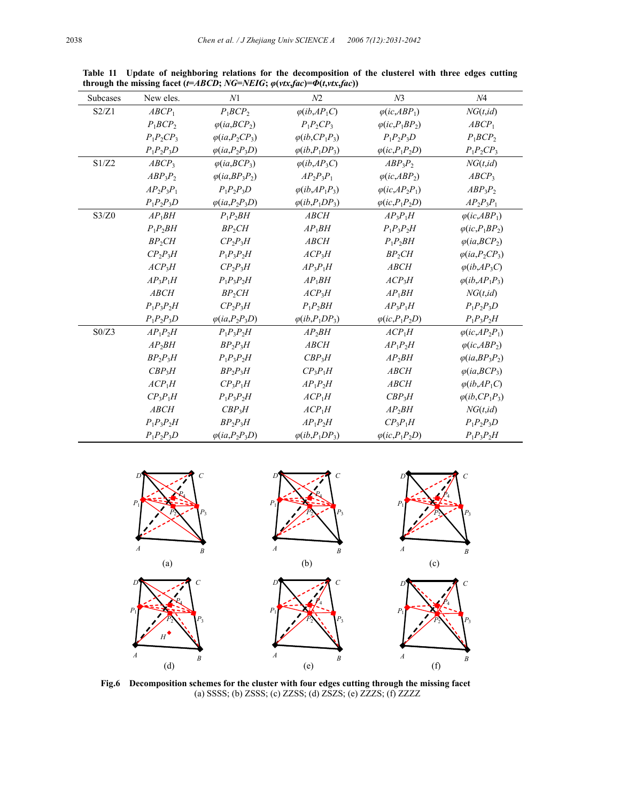| <b>Subcases</b> | New eles.         | N1                     | N <sub>2</sub>                                            | N <sub>3</sub>                                                         | N4                                                        |
|-----------------|-------------------|------------------------|-----------------------------------------------------------|------------------------------------------------------------------------|-----------------------------------------------------------|
| S2/Z1           | ABCP <sub>1</sub> | $P_1BCP_2$             | $\varphi$ ( <i>ib</i> , <i>AP</i> <sub>1</sub> <i>C</i> ) | $\varphi$ ( <i>ic</i> , <i>ABP</i> <sub>1</sub> )                      | NG(t, id)                                                 |
|                 | $P_1BCP_2$        | $\varphi(ia, BCP_2)$   | $P_1P_2CP_3$                                              | $\varphi$ (ic, $P_1BP_2$ )                                             | ABCP <sub>1</sub>                                         |
|                 | $P_1P_2CP_3$      | $\varphi(ia, P_2CP_3)$ | $\varphi$ ( <i>ib</i> , $CP_1P_3$ )                       | $P_1P_2P_3D$                                                           | $P_1BCP_2$                                                |
|                 | $P_1P_2P_3D$      | $\varphi(ia, P_2P_3D)$ | $\varphi$ ( <i>ib</i> , $P_1DP_3$ )                       | $\varphi$ (ic,P <sub>1</sub> P <sub>2</sub> D)                         | $P_1P_2CP_3$                                              |
| S1/Z2           | ABCP <sub>3</sub> | $\varphi(ia, BCP_3)$   | $\varphi$ ( <i>ib</i> , <i>AP</i> <sub>3</sub> <i>C</i> ) | $ABP_3P_2$                                                             | NG(t, id)                                                 |
|                 | $ABP_3P_2$        | $\varphi(ia, BP, P)$   | $AP_2P_3P_1$                                              | $\varphi$ ( <i>ic</i> , <i>ABP</i> <sub>2</sub> )                      | ABCP <sub>3</sub>                                         |
|                 | $AP_2P_3P_1$      | $P_1P_2P_3D$           | $\varphi$ ( <i>ib</i> , $AP_1P_3$ )                       | $\varphi$ ( <i>ic</i> , <i>AP</i> <sub>2</sub> <i>P</i> <sub>1</sub> ) | $ABP_3P_2$                                                |
|                 | $P_1P_2P_3D$      | $\varphi(ia, P_2P_3D)$ | $\varphi$ ( <i>ib</i> , $P_1DP_3$ )                       | $\varphi$ (ic,P <sub>1</sub> P <sub>2</sub> D)                         | $AP_2P_3P_1$                                              |
| S3/Z0           | $AP_1BH$          | $P_1P_2BH$             | <b>ABCH</b>                                               | $AP_3P_1H$                                                             | $\varphi$ ( <i>ic</i> , <i>ABP</i> <sub>1</sub> )         |
|                 | $P_1P_2BH$        | $BP_2CH$               | $AP_1BH$                                                  | $P_1P_2P_2H$                                                           | $\varphi(i\mathcal{C},P_1BP_2)$                           |
|                 | $BP_2CH$          | $CP_2P_3H$             | <b>ABCH</b>                                               | $P_1P_2BH$                                                             | $\varphi(ia, BCP_2)$                                      |
|                 | $CP_2P_3H$        | $P_1P_2P_2H$           | $ACP_3H$                                                  | $BP_2CH$                                                               | $\varphi(ia, P_2CP_3)$                                    |
|                 | $ACP_3H$          | $CP_2P_3H$             | $AP_3P_1H$                                                | <b>ABCH</b>                                                            | $\varphi$ ( <i>ib</i> , <i>AP</i> <sub>3</sub> <i>C</i> ) |
|                 | $AP_3P_1H$        | $P_1P_2P_2H$           | $AP_1BH$                                                  | $ACP_3H$                                                               | $\varphi$ ( <i>ib</i> , $AP_1P_3$ )                       |
|                 | <b>ABCH</b>       | $BP_2CH$               | ACP <sub>3</sub> H                                        | $AP_1BH$                                                               | NG(t, id)                                                 |
|                 | $P_1P_2P_2H$      | $CP_2P_3H$             | $P_1P_2BH$                                                | $AP_3P_1H$                                                             | $P_1P_2P_3D$                                              |
|                 | $P_1P_2P_3D$      | $\varphi(ia, P_2P_3D)$ | $\varphi$ ( <i>ib</i> , $P_1DP_3$ )                       | $\varphi$ (ic,P <sub>1</sub> P <sub>2</sub> D)                         | $P_1P_2P_2H$                                              |
| S0/Z3           | $AP_1P_2H$        | $P_1P_2P_2H$           | $AP_2BH$                                                  | $ACP_1H$                                                               | $\varphi$ (ic, AP <sub>2</sub> P <sub>1</sub> )           |
|                 | $AP_2BH$          | $BP_2P_3H$             | <b>ABCH</b>                                               | $AP_1P_2H$                                                             | $\varphi$ (ic, ABP <sub>2</sub> )                         |
|                 | $BP_2P_3H$        | $P_1P_2P_2H$           | $CBP_3H$                                                  | $AP_2BH$                                                               | $\varphi(ia, BP_3P_2)$                                    |
|                 | $CBP_3H$          | $BP_2P_3H$             | $CP_3P_1H$                                                | <b>ABCH</b>                                                            | $\varphi(ia, BCP_3)$                                      |
|                 | $ACP_1H$          | $CP_3P_1H$             | $AP_1P_2H$                                                | <b>ABCH</b>                                                            | $\varphi$ ( <i>ib</i> , <i>AP</i> <sub>1</sub> <i>C</i> ) |
|                 | $CP_3P_1H$        | $P_1P_2P_2H$           | $ACP_1H$                                                  | $CBP_3H$                                                               | $\varphi$ ( <i>ib</i> , $CP_1P_3$ )                       |
|                 | <b>ABCH</b>       | $CBP_3H$               | $ACP_1H$                                                  | $AP_2BH$                                                               | NG(t, id)                                                 |
|                 | $P_1P_2P_2H$      | $BP_2P_3H$             | $AP_1P_2H$                                                | $CP_3P_1H$                                                             | $P_1P_2P_3D$                                              |
|                 | $P_1P_2P_3D$      | $\varphi(ia, P_2P_3D)$ | $\varphi$ ( <i>ib</i> , $P_1DP_3$ )                       | $\varphi$ (ic,P <sub>1</sub> P <sub>2</sub> D)                         | $P_1P_2P_2H$                                              |

**Table 11 Update of neighboring relations for the decomposition of the clusterel with three edges cutting**  through the missing facet ( $t=ABCD$ ; NG=NEIG;  $\varphi(vtx,fac)=\varPhi(t,vtx,fac))$ 



**Fig.6 Decomposition schemes for the cluster with four edges cutting through the missing facet**  (a) SSSS; (b) ZSSS; (c) ZZSS; (d) ZSZS; (e) ZZZS; (f) ZZZZ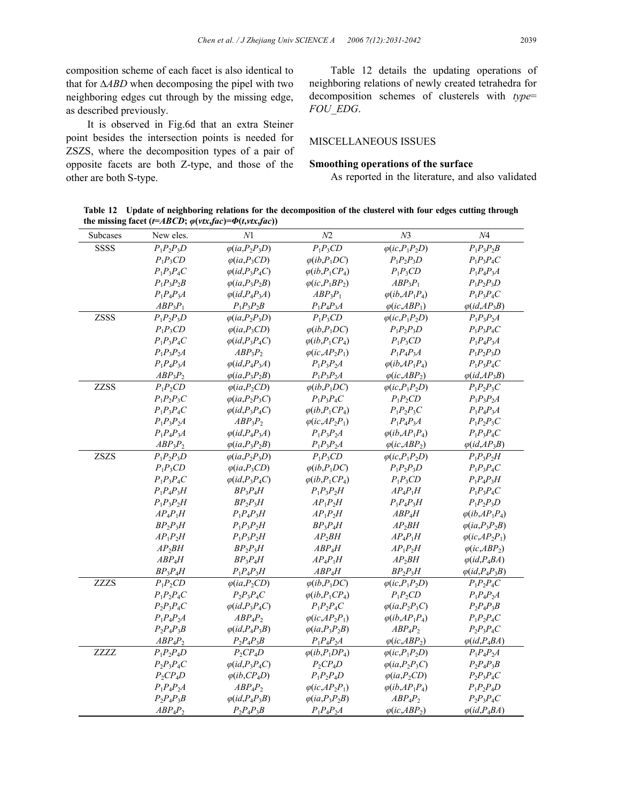composition scheme of each facet is also identical to that for ∆*ABD* when decomposing the pipel with two neighboring edges cut through by the missing edge, as described previously.

It is observed in Fig.6d that an extra Steiner point besides the intersection points is needed for ZSZS, where the decomposition types of a pair of opposite facets are both Z-type, and those of the other are both S-type.

Table 12 details the updating operations of neighboring relations of newly created tetrahedra for decomposition schemes of clusterels with *type*= *FOU\_EDG*.

### MISCELLANEOUS ISSUES

#### **Smoothing operations of the surface**

As reported in the literature, and also validated

**Table 12 Update of neighboring relations for the decomposition of the clusterel with four edges cutting through the missing facet** ( $t = ABCD$ ;  $\varphi(\nu tx, fac) = \Phi(t, vtx, fac)$ )

| Subcases    | New eles.    | N1                                         | N2                                              | N <sub>3</sub>                                 | $N\!4$                              |
|-------------|--------------|--------------------------------------------|-------------------------------------------------|------------------------------------------------|-------------------------------------|
| <b>SSSS</b> | $P_1P_2P_3D$ | $\varphi(ia, P_2P_3D)$                     | $P_1P_3CD$                                      | $\varphi(ic, P_1 P_2 D)$                       | $P_1P_2P_2B$                        |
|             | $P_1P_3CD$   | $\varphi(ia, P_3CD)$                       | $\varphi$ ( <i>ib</i> , $P_1DC$ )               | $P_1P_2P_3D$                                   | $P_1P_3P_4C$                        |
|             | $P_1P_3P_4C$ | $\varphi(id, P_3P_4C)$                     | $\varphi$ ( <i>ib</i> , $P_1CP_4$ )             | $P_1P_3CD$                                     | $P_1P_4P_3A$                        |
|             | $P_1P_3P_2B$ | $\varphi(ia, P_3P_2B)$                     | $\varphi$ ( <i>ic</i> , $P_1BP_2$ )             | $ABP_3P_1$                                     | $P_1P_2P_3D$                        |
|             | $P_1P_4P_3A$ | $\varphi(id, P_4P_3A)$                     | $ABP_3P_1$                                      | $\varphi$ ( <i>ib</i> , $AP_1P_4$ )            | $P_1P_3P_4C$                        |
|             | $ABP_3P_1$   | $P_1P_2P_2B$                               | $P_1P_4P_3A$                                    | $\varphi$ (ic, ABP <sub>1</sub> )              | $\varphi(id, AP_3B)$                |
| <b>ZSSS</b> | $P_1P_2P_3D$ | $\varphi(ia, P_2P_3D)$                     | $P_1P_3CD$                                      | $\varphi$ (ic,P <sub>1</sub> P <sub>2</sub> D) | $P_1P_3P_2A$                        |
|             | $P_1P_3CD$   | $\varphi(ia, P_3CD)$                       | $\varphi$ ( <i>ib</i> , $P_1DC$ )               | $P_1P_2P_3D$                                   | $P_1P_2P_4C$                        |
|             | $P_1P_3P_4C$ | $\varphi(id, P_3P_4C)$                     | $\varphi$ ( <i>ib</i> , $P_1CP_4$ )             | $P_1P_3CD$                                     | $P_1P_4P_3A$                        |
|             | $P_1P_2P_2A$ | $ABP_3P_2$                                 | $\varphi$ (ic,AP <sub>2</sub> P <sub>1</sub> )  | $P_1P_4P_3A$                                   | $P_1P_2P_3D$                        |
|             | $P_1P_4P_3A$ | $\varphi(id, P_4P_3A)$                     | $P_1P_3P_2A$                                    | $\varphi$ (ib,AP <sub>1</sub> P <sub>4</sub> ) | $P_1P_3P_4C$                        |
|             | $ABP_3P_2$   | $\varphi(ia, P_3P_2B)$                     | $P_1P_3P_2A$                                    | $\varphi$ (ic, ABP <sub>2</sub> )              | $\varphi(id, AP_3B)$                |
| <b>ZZSS</b> | $P_1P_2CD$   | $\varphi(ia, P_2CD)$                       | $\varphi$ ( <i>ib</i> , $P_1DC$ )               | $\varphi$ (ic,P <sub>1</sub> P <sub>2</sub> D) | $P_1P_2P_3C$                        |
|             | $P_1P_2P_3C$ | $\varphi(ia, P_2P_3C)$                     | $P_1P_3P_4C$                                    | $P_1P_2CD$                                     | $P_1P_2P_2A$                        |
|             | $P_1P_3P_4C$ | $\varphi(id, P_3P_4C)$                     | $\varphi$ ( <i>ib</i> , $P_1$ C $P_4$ )         | $P_1P_2P_3C$                                   | $P_1P_4P_3A$                        |
|             | $P_1P_3P_2A$ | $ABP_3P_2$                                 | $\varphi$ (ic, AP <sub>2</sub> P <sub>1</sub> ) | $P_1P_4P_3A$                                   | $P_1P_2P_3C$                        |
|             | $P_1P_4P_3A$ | $\varphi(id, P_4P_3A)$                     | $P_1P_2P_2A$                                    | $\varphi$ ( <i>ib</i> , $AP_1P_4$ )            | $P_1P_3P_4C$                        |
|             | $ABP_3P_2$   | $\varphi(ia, P_3P_2B)$                     | $P_1P_2P_2A$                                    | $\varphi$ (ic, ABP <sub>2</sub> )              | $\varphi(id, AP_3B)$                |
| <b>ZSZS</b> | $P_1P_2P_3D$ | $\varphi(ia, P_2P_3D)$                     | $P_1P_3CD$                                      | $\varphi$ (ic, $P_1P_2D$ )                     | $P_1P_3P_2H$                        |
|             | $P_1P_3CD$   | $\varphi(ia, P_3CD)$                       | $\varphi$ (ib,P <sub>1</sub> DC)                | $P_1P_2P_3D$                                   | $P_1P_3P_4C$                        |
|             | $P_1P_3P_4C$ | $\varphi(id, P_3P_4C)$                     | $\varphi$ ( <i>ib</i> , $P_1CP_4$ )             | $P_1P_3CD$                                     | $P_1P_4P_3H$                        |
|             | $P_1P_4P_3H$ | $BP_3P_4H$                                 | $P_1P_3P_2H$                                    | $AP_4P_1H$                                     | $P_1P_3P_4C$                        |
|             | $P_1P_2P_2H$ | $BP_2P_3H$                                 | $AP_1P_2H$                                      | $P_1P_4P_3H$                                   | $P_1P_2P_3D$                        |
|             | $AP_4P_1H$   | $P_1P_4P_3H$                               | $AP_1P_2H$                                      | $ABP_4H$                                       | $\varphi$ ( <i>i</i> b, $AP_1P_4$ ) |
|             | $BP_2P_3H$   | $P_1P_2P_2H$                               | $BP_3P_4H$                                      | $AP_2BH$                                       | $\varphi(ia, P_3P_2B)$              |
|             | $AP_1P_2H$   | $P_1P_3P_2H$                               | $AP_2BH$                                        | $AP_4P_1H$                                     | $\varphi$ ( <i>ic</i> , $AP_2P_1$ ) |
|             | $AP_2BH$     | $BP_2P_3H$                                 | $ABP_4H$                                        | $AP_1P_2H$                                     | $\varphi$ (ic, ABP <sub>2</sub> )   |
|             | $ABP_4H$     | $BP_3P_4H$                                 | $AP_4P_1H$                                      | $AP_2BH$                                       | $\varphi(id, P_4BA)$                |
|             | $BP_3P_4H$   | $P_1P_4P_3H$                               | $ABP_4H$                                        | $BP_2P_3H$                                     | $\varphi(id, P_4P_3B)$              |
| <b>ZZZS</b> | $P_1P_2CD$   | $\varphi(ia, P_2CD)$                       | $\varphi$ ( <i>ib</i> , $P_1DC$ )               | $\varphi$ (ic,P <sub>1</sub> P <sub>2</sub> D) | $P_1P_2P_4C$                        |
|             | $P_1P_2P_4C$ | $P_2P_3P_4C$                               | $\varphi(ib, P_1CP_4)$                          | $P_1P_2CD$                                     | $P_1P_4P_2A$                        |
|             | $P_2P_3P_4C$ | $\varphi(id, P_3P_4C)$                     | $P_1P_2P_4C$                                    | $\varphi(ia, P_2P_3C)$                         | $P_2P_4P_3B$                        |
|             | $P_1P_4P_2A$ | $ABP_4P_2$                                 | $\varphi$ (ic, AP <sub>2</sub> P <sub>1</sub> ) | $\varphi$ ( <i>ib</i> , $AP_1P_4$ )            | $P_1P_2P_4C$                        |
|             | $P_2P_4P_3B$ | $\varphi(id, P_4P_3B)$                     | $\varphi(ia, P_3P_2B)$                          | $ABP_4P_2$                                     | $P_2P_3P_4C$                        |
|             | $ABP_4P_2$   | $P_2P_4P_3B$                               | $P_1P_4P_2A$                                    | $\varphi$ (ic, ABP <sub>2</sub> )              | $\varphi(id, P_4BA)$                |
| ZZZZ        | $P_1P_2P_4D$ | $P_2CP_4D$                                 | $\varphi$ ( <i>ib</i> , $P_1DP_4$ )             | $\varphi$ (ic,P <sub>1</sub> P <sub>2</sub> D) | $P_1P_4P_2A$                        |
|             | $P_2P_3P_4C$ | $\varphi(id, P_3P_4C)$                     | $P_2CP_4D$                                      | $\varphi(ia, P_2P_3C)$                         | $P_2P_4P_3B$                        |
|             | $P_2CP_4D$   | $\varphi$ ( <i>ib</i> , CP <sub>4</sub> D) | $P_1P_2P_4D$                                    | $\varphi(ia, P_2CD)$                           | $P_2P_3P_4C$                        |
|             | $P_1P_4P_2A$ | $ABP_4P_2$                                 | $\varphi$ ( <i>ic</i> , $AP_2P_1$ )             | $\varphi$ ( <i>ib</i> , $AP_1P_4$ )            | $P_1P_2P_4D$                        |
|             | $P_2P_4P_3B$ | $\varphi(id, P_4P_3B)$                     | $\varphi(ia, P_3P_2B)$                          | $ABP_4P_2$                                     | $P_2P_3P_4C$                        |
|             | $ABP_4P_2$   | $P_2P_4P_3B$                               | $P_1P_4P_2A$                                    | $\varphi$ (ic, ABP <sub>2</sub> )              | $\varphi(id, P_4BA)$                |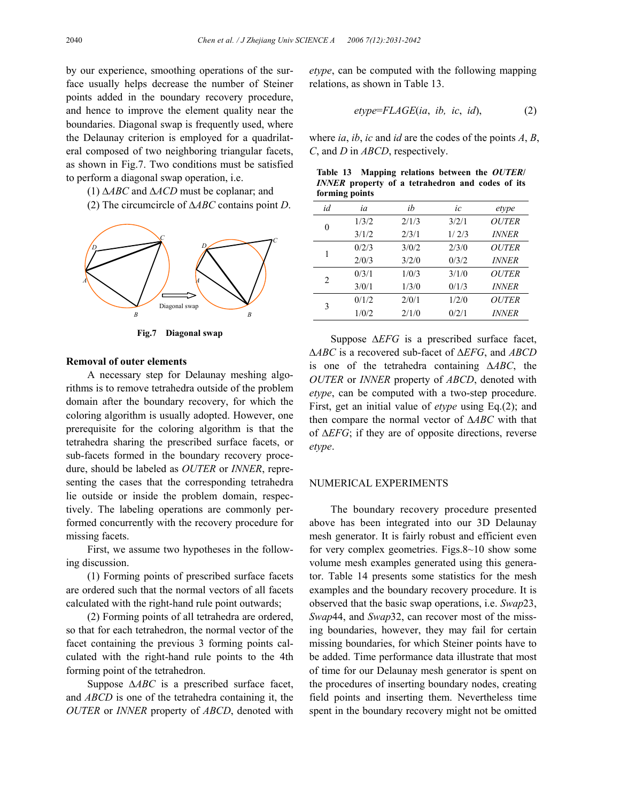by our experience, smoothing operations of the surface usually helps decrease the number of Steiner points added in the boundary recovery procedure, and hence to improve the element quality near the boundaries. Diagonal swap is frequently used, where the Delaunay criterion is employed for a quadrilateral composed of two neighboring triangular facets, as shown in Fig.7. Two conditions must be satisfied to perform a diagonal swap operation, i.e.

- (1) ∆*ABC* and ∆*ACD* must be coplanar; and
- (2) The circumcircle of ∆*ABC* contains point *D*.



**Fig.7 Diagonal swap**

#### **Removal of outer elements**

A necessary step for Delaunay meshing algorithms is to remove tetrahedra outside of the problem domain after the boundary recovery, for which the coloring algorithm is usually adopted. However, one prerequisite for the coloring algorithm is that the tetrahedra sharing the prescribed surface facets, or sub-facets formed in the boundary recovery procedure, should be labeled as *OUTER* or *INNER*, representing the cases that the corresponding tetrahedra lie outside or inside the problem domain, respectively. The labeling operations are commonly performed concurrently with the recovery procedure for missing facets.

First, we assume two hypotheses in the following discussion.

(1) Forming points of prescribed surface facets are ordered such that the normal vectors of all facets calculated with the right-hand rule point outwards;

(2) Forming points of all tetrahedra are ordered, so that for each tetrahedron, the normal vector of the facet containing the previous 3 forming points calculated with the right-hand rule points to the 4th forming point of the tetrahedron.

Suppose ∆*ABC* is a prescribed surface facet, and *ABCD* is one of the tetrahedra containing it, the *OUTER* or *INNER* property of *ABCD*, denoted with *etype*, can be computed with the following mapping relations, as shown in Table 13.

$$
etype = FLAGE(ia, ib, ic, id), \tag{2}
$$

where *ia*, *ib*, *ic* and *id* are the codes of the points *A*, *B*, *C*, and *D* in *ABCD*, respectively.

| Table 13 Mapping relations between the OUTER/           |  |  |  |  |
|---------------------------------------------------------|--|--|--|--|
| <i>INNER</i> property of a tetrahedron and codes of its |  |  |  |  |
| forming points                                          |  |  |  |  |

| id             | ia    | ih    | ic    | etype        |
|----------------|-------|-------|-------|--------------|
| $\theta$       | 1/3/2 | 2/1/3 | 3/2/1 | <b>OUTER</b> |
|                | 3/1/2 | 2/3/1 | 1/2/3 | <b>INNER</b> |
| 1              | 0/2/3 | 3/0/2 | 2/3/0 | <b>OUTER</b> |
|                | 2/0/3 | 3/2/0 | 0/3/2 | <i>INNER</i> |
| $\mathfrak{D}$ | 0/3/1 | 1/0/3 | 3/1/0 | <b>OUTER</b> |
|                | 3/0/1 | 1/3/0 | 0/1/3 | <i>INNER</i> |
| 3              | 0/1/2 | 2/0/1 | 1/2/0 | <b>OUTER</b> |
|                | 1/0/2 | 2/1/0 | 0/2/1 | <i>INNER</i> |

Suppose ∆*EFG* is a prescribed surface facet, ∆*ABC* is a recovered sub-facet of ∆*EFG*, and *ABCD* is one of the tetrahedra containing ∆*ABC*, the *OUTER* or *INNER* property of *ABCD*, denoted with *etype*, can be computed with a two-step procedure. First, get an initial value of *etype* using Eq.(2); and then compare the normal vector of ∆*ABC* with that of ∆*EFG*; if they are of opposite directions, reverse *etype*.

#### NUMERICAL EXPERIMENTS

The boundary recovery procedure presented above has been integrated into our 3D Delaunay mesh generator. It is fairly robust and efficient even for very complex geometries. Figs.8~10 show some volume mesh examples generated using this generator. Table 14 presents some statistics for the mesh examples and the boundary recovery procedure. It is observed that the basic swap operations, i.e. *Swap*23, *Swap*44, and *Swap*32, can recover most of the missing boundaries, however, they may fail for certain missing boundaries, for which Steiner points have to be added. Time performance data illustrate that most of time for our Delaunay mesh generator is spent on the procedures of inserting boundary nodes, creating field points and inserting them. Nevertheless time spent in the boundary recovery might not be omitted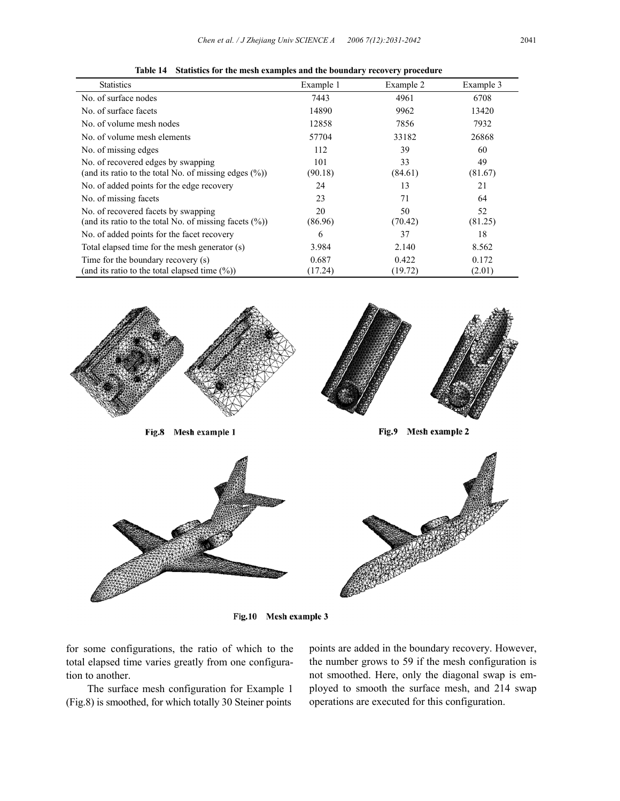| <b>Statistics</b>                                                                                 | Example 1      | Example 2     | Example 3     |
|---------------------------------------------------------------------------------------------------|----------------|---------------|---------------|
| No. of surface nodes                                                                              | 7443           | 4961          | 6708          |
| No. of surface facets                                                                             | 14890          | 9962          | 13420         |
| No. of volume mesh nodes                                                                          | 12858          | 7856          | 7932          |
| No. of volume mesh elements                                                                       | 57704          | 33182         | 26868         |
| No. of missing edges                                                                              | 112            | 39            | 60            |
| No. of recovered edges by swapping<br>(and its ratio to the total No. of missing edges $(\%)$ )   | 101<br>(90.18) | 33<br>(84.61) | 49<br>(81.67) |
| No. of added points for the edge recovery                                                         | 24             | 13            | 21            |
| No. of missing facets                                                                             | 23             | 71            | 64            |
| No. of recovered facets by swapping<br>(and its ratio to the total No. of missing facets $(\%)$ ) | 20<br>(86.96)  | 50<br>(70.42) | 52<br>(81.25) |
| No. of added points for the facet recovery                                                        | 6              | 37            | 18            |
| Total elapsed time for the mesh generator (s)                                                     | 3.984          | 2.140         | 8.562         |
| Time for the boundary recovery (s)                                                                | 0.687          | 0.422         | 0.172         |
| (and its ratio to the total elapsed time $(\%)$ )                                                 | (17.24)        | (19.72)       | (2.01)        |

**Table 14 Statistics for the mesh examples and the boundary recovery procedure** 



Fig.10 Mesh example 3

for some configurations, the ratio of which to the total elapsed time varies greatly from one configuration to another.

The surface mesh configuration for Example 1 (Fig.8) is smoothed, for which totally 30 Steiner points

points are added in the boundary recovery. However, the number grows to 59 if the mesh configuration is not smoothed. Here, only the diagonal swap is employed to smooth the surface mesh, and 214 swap operations are executed for this configuration.